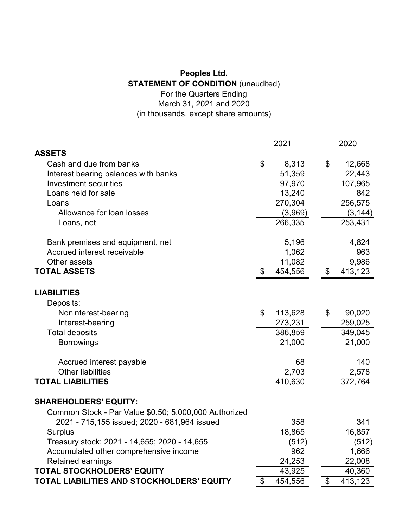## **Peoples Ltd. STATEMENT OF CONDITION** (unaudited) For the Quarters Ending March 31, 2021 and 2020 (in thousands, except share amounts)

|                                                       | 2021          | 2020          |
|-------------------------------------------------------|---------------|---------------|
| <b>ASSETS</b>                                         |               |               |
| Cash and due from banks                               | \$<br>8,313   | \$<br>12,668  |
| Interest bearing balances with banks                  | 51,359        | 22,443        |
| <b>Investment securities</b>                          | 97,970        | 107,965       |
| Loans held for sale                                   | 13,240        | 842           |
| Loans                                                 | 270,304       | 256,575       |
| Allowance for loan losses                             | (3,969)       | (3, 144)      |
| Loans, net                                            | 266,335       | 253,431       |
| Bank premises and equipment, net                      | 5,196         | 4,824         |
| Accrued interest receivable                           | 1,062         | 963           |
| Other assets                                          | 11,082        | 9,986         |
| <b>TOTAL ASSETS</b>                                   | \$<br>454,556 | \$<br>413,123 |
| <b>LIABILITIES</b>                                    |               |               |
| Deposits:                                             |               |               |
| Noninterest-bearing                                   | \$<br>113,628 | \$<br>90,020  |
| Interest-bearing                                      | 273,231       | 259,025       |
| <b>Total deposits</b>                                 | 386,859       | 349,045       |
| <b>Borrowings</b>                                     | 21,000        | 21,000        |
| Accrued interest payable                              | 68            | 140           |
| <b>Other liabilities</b>                              | 2,703         | 2,578         |
| <b>TOTAL LIABILITIES</b>                              | 410,630       | 372,764       |
| <b>SHAREHOLDERS' EQUITY:</b>                          |               |               |
| Common Stock - Par Value \$0.50; 5,000,000 Authorized |               |               |
| 2021 - 715,155 issued; 2020 - 681,964 issued          | 358           | 341           |
| <b>Surplus</b>                                        | 18,865        | 16,857        |
| Treasury stock: 2021 - 14,655; 2020 - 14,655          | (512)         | (512)         |
| Accumulated other comprehensive income                | 962           | 1,666         |
| <b>Retained earnings</b>                              | 24,253        | 22,008        |
| TOTAL STOCKHOLDERS' EQUITY                            | 43,925        | 40,360        |
| TOTAL LIABILITIES AND STOCKHOLDERS' EQUITY            | \$<br>454,556 | \$<br>413,123 |